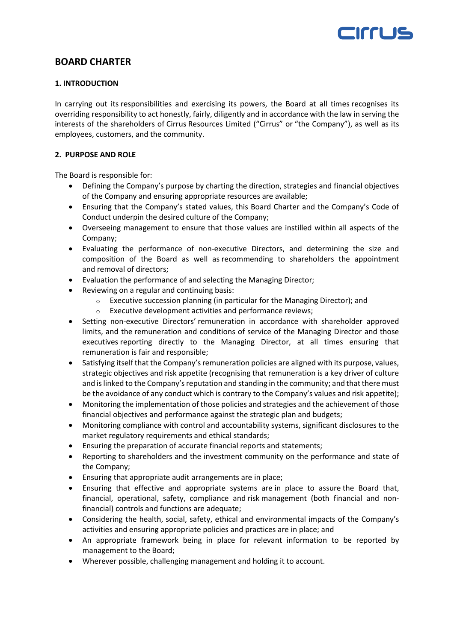

## **BOARD CHARTER**

## **1. INTRODUCTION**

In carrying out its responsibilities and exercising its powers, the Board at all times recognises its overriding responsibility to act honestly, fairly, diligently and in accordance with the law in serving the interests of the shareholders of Cirrus Resources Limited ("Cirrus" or "the Company"), as well as its employees, customers, and the community.

## **2. PURPOSE AND ROLE**

The Board is responsible for:

- Defining the Company's purpose by charting the direction, strategies and financial objectives of the Company and ensuring appropriate resources are available;
- Ensuring that the Company's stated values, this Board Charter and the Company's Code of Conduct underpin the desired culture of the Company;
- Overseeing management to ensure that those values are instilled within all aspects of the Company;
- Evaluating the performance of non-executive Directors, and determining the size and composition of the Board as well as recommending to shareholders the appointment and removal of directors;
- Evaluation the performance of and selecting the Managing Director;
- Reviewing on a regular and continuing basis:
	- Executive succession planning (in particular for the Managing Director); and
	- o Executive development activities and performance reviews;
- Setting non-executive Directors' remuneration in accordance with shareholder approved limits, and the remuneration and conditions of service of the Managing Director and those executives reporting directly to the Managing Director, at all times ensuring that remuneration is fair and responsible;
- Satisfying itself that the Company's remuneration policies are aligned with its purpose, values, strategic objectives and risk appetite (recognising that remuneration is a key driver of culture and is linked to the Company's reputation and standing in the community; and that there must be the avoidance of any conduct which is contrary to the Company's values and risk appetite);
- Monitoring the implementation of those policies and strategies and the achievement of those financial objectives and performance against the strategic plan and budgets;
- Monitoring compliance with control and accountability systems, significant disclosures to the market regulatory requirements and ethical standards;
- Ensuring the preparation of accurate financial reports and statements;
- Reporting to shareholders and the investment community on the performance and state of the Company;
- Ensuring that appropriate audit arrangements are in place;
- Ensuring that effective and appropriate systems are in place to assure the Board that, financial, operational, safety, compliance and risk management (both financial and nonfinancial) controls and functions are adequate;
- Considering the health, social, safety, ethical and environmental impacts of the Company's activities and ensuring appropriate policies and practices are in place; and
- An appropriate framework being in place for relevant information to be reported by management to the Board;
- Wherever possible, challenging management and holding it to account.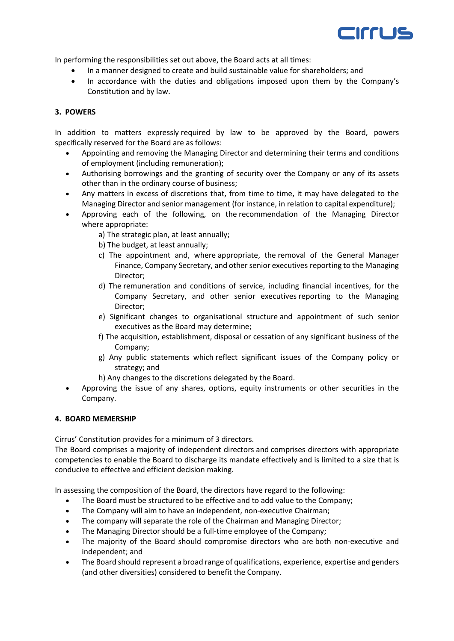

In performing the responsibilities set out above, the Board acts at all times:

- In a manner designed to create and build sustainable value for shareholders; and
- In accordance with the duties and obligations imposed upon them by the Company's Constitution and by law.

## **3. POWERS**

In addition to matters expressly required by law to be approved by the Board, powers specifically reserved for the Board are as follows:

- Appointing and removing the Managing Director and determining their terms and conditions of employment (including remuneration);
- Authorising borrowings and the granting of security over the Company or any of its assets other than in the ordinary course of business;
- Any matters in excess of discretions that, from time to time, it may have delegated to the Managing Director and senior management (for instance, in relation to capital expenditure);
- Approving each of the following, on the recommendation of the Managing Director where appropriate:
	- a) The strategic plan, at least annually;
	- b) The budget, at least annually;
	- c) The appointment and, where appropriate, the removal of the General Manager Finance, Company Secretary, and other senior executives reporting to the Managing Director;
	- d) The remuneration and conditions of service, including financial incentives, for the Company Secretary, and other senior executives reporting to the Managing Director;
	- e) Significant changes to organisational structure and appointment of such senior executives as the Board may determine;
	- f) The acquisition, establishment, disposal or cessation of any significant business of the Company;
	- g) Any public statements which reflect significant issues of the Company policy or strategy; and
	- h) Any changes to the discretions delegated by the Board.
- Approving the issue of any shares, options, equity instruments or other securities in the Company.

## **4. BOARD MEMERSHIP**

Cirrus' Constitution provides for a minimum of 3 directors.

The Board comprises a majority of independent directors and comprises directors with appropriate competencies to enable the Board to discharge its mandate effectively and is limited to a size that is conducive to effective and efficient decision making.

In assessing the composition of the Board, the directors have regard to the following:

- The Board must be structured to be effective and to add value to the Company;
- The Company will aim to have an independent, non-executive Chairman;
- The company will separate the role of the Chairman and Managing Director;
- The Managing Director should be a full-time employee of the Company;
- The majority of the Board should compromise directors who are both non-executive and independent; and
- The Board should represent a broad range of qualifications, experience, expertise and genders (and other diversities) considered to benefit the Company.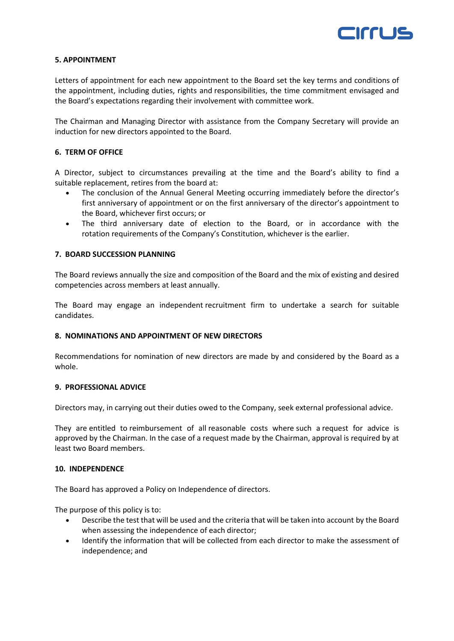

## **5. APPOINTMENT**

Letters of appointment for each new appointment to the Board set the key terms and conditions of the appointment, including duties, rights and responsibilities, the time commitment envisaged and the Board's expectations regarding their involvement with committee work.

The Chairman and Managing Director with assistance from the Company Secretary will provide an induction for new directors appointed to the Board.

## **6. TERM OF OFFICE**

A Director, subject to circumstances prevailing at the time and the Board's ability to find a suitable replacement, retires from the board at:

- The conclusion of the Annual General Meeting occurring immediately before the director's first anniversary of appointment or on the first anniversary of the director's appointment to the Board, whichever first occurs; or
- The third anniversary date of election to the Board, or in accordance with the rotation requirements of the Company's Constitution, whichever is the earlier.

#### **7. BOARD SUCCESSION PLANNING**

The Board reviews annually the size and composition of the Board and the mix of existing and desired competencies across members at least annually.

The Board may engage an independent recruitment firm to undertake a search for suitable candidates.

#### **8. NOMINATIONS AND APPOINTMENT OF NEW DIRECTORS**

Recommendations for nomination of new directors are made by and considered by the Board as a whole.

#### **9. PROFESSIONAL ADVICE**

Directors may, in carrying out their duties owed to the Company, seek external professional advice.

They are entitled to reimbursement of all reasonable costs where such a request for advice is approved by the Chairman. In the case of a request made by the Chairman, approval is required by at least two Board members.

#### **10. INDEPENDENCE**

The Board has approved a Policy on Independence of directors.

The purpose of this policy is to:

- Describe the test that will be used and the criteria that will be taken into account by the Board when assessing the independence of each director;
- Identify the information that will be collected from each director to make the assessment of independence; and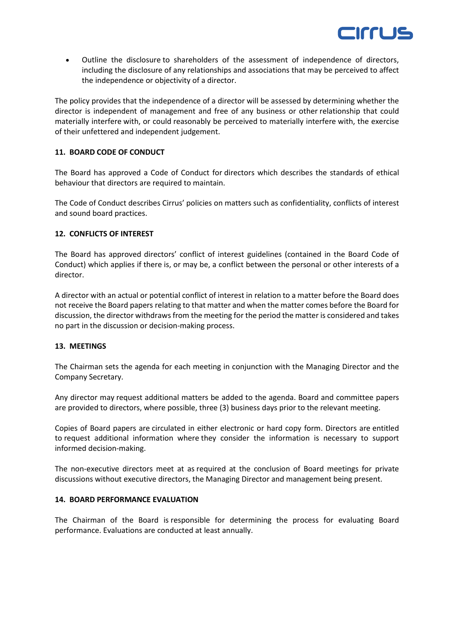

• Outline the disclosure to shareholders of the assessment of independence of directors, including the disclosure of any relationships and associations that may be perceived to affect the independence or objectivity of a director.

The policy provides that the independence of a director will be assessed by determining whether the director is independent of management and free of any business or other relationship that could materially interfere with, or could reasonably be perceived to materially interfere with, the exercise of their unfettered and independent judgement.

## **11. BOARD CODE OF CONDUCT**

The Board has approved a Code of Conduct for directors which describes the standards of ethical behaviour that directors are required to maintain.

The Code of Conduct describes Cirrus' policies on matters such as confidentiality, conflicts of interest and sound board practices.

## **12. CONFLICTS OF INTEREST**

The Board has approved directors' conflict of interest guidelines (contained in the Board Code of Conduct) which applies if there is, or may be, a conflict between the personal or other interests of a director.

A director with an actual or potential conflict of interest in relation to a matter before the Board does not receive the Board papers relating to that matter and when the matter comes before the Board for discussion, the director withdraws from the meeting for the period the matter is considered and takes no part in the discussion or decision-making process.

## **13. MEETINGS**

The Chairman sets the agenda for each meeting in conjunction with the Managing Director and the Company Secretary.

Any director may request additional matters be added to the agenda. Board and committee papers are provided to directors, where possible, three (3) business days prior to the relevant meeting.

Copies of Board papers are circulated in either electronic or hard copy form. Directors are entitled to request additional information where they consider the information is necessary to support informed decision-making.

The non-executive directors meet at as required at the conclusion of Board meetings for private discussions without executive directors, the Managing Director and management being present.

## **14. BOARD PERFORMANCE EVALUATION**

The Chairman of the Board is responsible for determining the process for evaluating Board performance. Evaluations are conducted at least annually.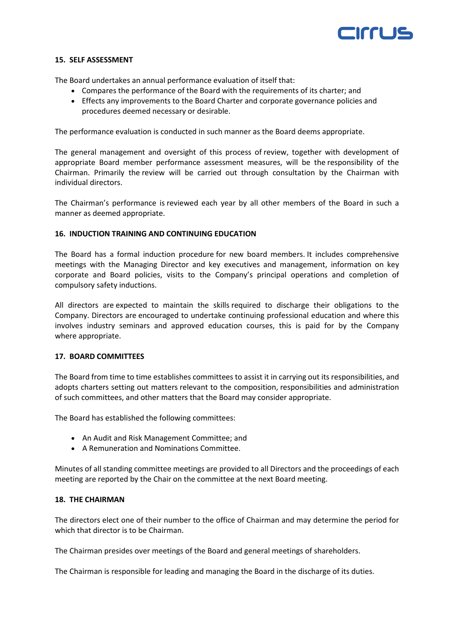

#### **15. SELF ASSESSMENT**

The Board undertakes an annual performance evaluation of itself that:

- Compares the performance of the Board with the requirements of its charter; and
- Effects any improvements to the Board Charter and corporate governance policies and procedures deemed necessary or desirable.

The performance evaluation is conducted in such manner as the Board deems appropriate.

The general management and oversight of this process of review, together with development of appropriate Board member performance assessment measures, will be the responsibility of the Chairman. Primarily the review will be carried out through consultation by the Chairman with individual directors.

The Chairman's performance is reviewed each year by all other members of the Board in such a manner as deemed appropriate.

#### **16. INDUCTION TRAINING AND CONTINUING EDUCATION**

The Board has a formal induction procedure for new board members. It includes comprehensive meetings with the Managing Director and key executives and management, information on key corporate and Board policies, visits to the Company's principal operations and completion of compulsory safety inductions.

All directors are expected to maintain the skills required to discharge their obligations to the Company. Directors are encouraged to undertake continuing professional education and where this involves industry seminars and approved education courses, this is paid for by the Company where appropriate.

#### **17. BOARD COMMITTEES**

The Board from time to time establishes committees to assist it in carrying out its responsibilities, and adopts charters setting out matters relevant to the composition, responsibilities and administration of such committees, and other matters that the Board may consider appropriate.

The Board has established the following committees:

- An Audit and Risk Management Committee; and
- A Remuneration and Nominations Committee.

Minutes of all standing committee meetings are provided to all Directors and the proceedings of each meeting are reported by the Chair on the committee at the next Board meeting.

## **18. THE CHAIRMAN**

The directors elect one of their number to the office of Chairman and may determine the period for which that director is to be Chairman.

The Chairman presides over meetings of the Board and general meetings of shareholders.

The Chairman is responsible for leading and managing the Board in the discharge of its duties.